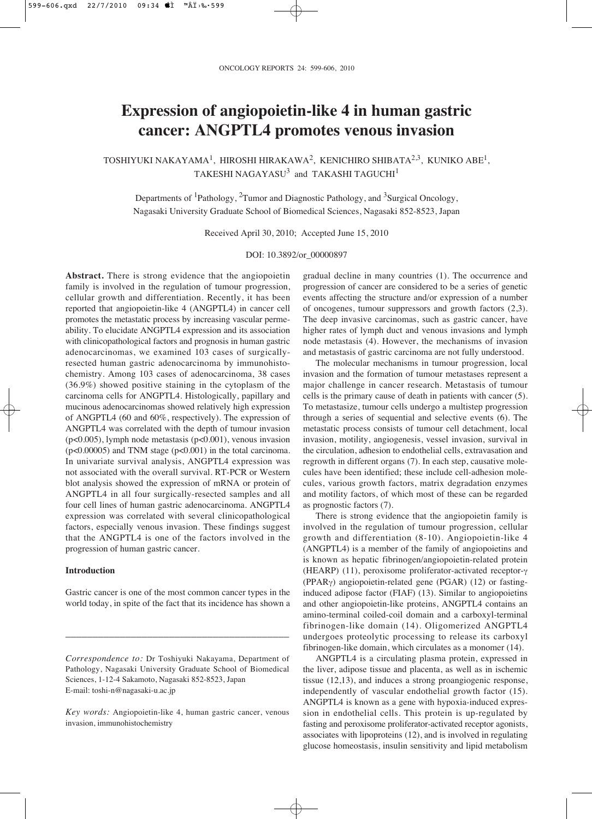# **Expression of angiopoietin-like 4 in human gastric cancer: ANGPTL4 promotes venous invasion**

TOSHIYUKI NAKAYAMA<sup>1</sup>, HIROSHI HIRAKAWA<sup>2</sup>, KENICHIRO SHIBATA<sup>2,3</sup>, KUNIKO ABE<sup>1</sup>, TAKESHI NAGAYASU $3$  and TAKASHI TAGUCHI $1$ 

Departments of <sup>1</sup>Pathology, <sup>2</sup>Tumor and Diagnostic Pathology, and <sup>3</sup>Surgical Oncology, Nagasaki University Graduate School of Biomedical Sciences, Nagasaki 852-8523, Japan

Received April 30, 2010; Accepted June 15, 2010

DOI: 10.3892/or\_00000897

**Abstract.** There is strong evidence that the angiopoietin family is involved in the regulation of tumour progression, cellular growth and differentiation. Recently, it has been reported that angiopoietin-like 4 (ANGPTL4) in cancer cell promotes the metastatic process by increasing vascular permeability. To elucidate ANGPTL4 expression and its association with clinicopathological factors and prognosis in human gastric adenocarcinomas, we examined 103 cases of surgicallyresected human gastric adenocarcinoma by immunohistochemistry. Among 103 cases of adenocarcinoma, 38 cases (36.9%) showed positive staining in the cytoplasm of the carcinoma cells for ANGPTL4. Histologically, papillary and mucinous adenocarcinomas showed relatively high expression of ANGPTL4 (60 and 60%, respectively). The expression of ANGPTL4 was correlated with the depth of tumour invasion (p<0.005), lymph node metastasis (p<0.001), venous invasion (p<0.00005) and TNM stage (p<0.001) in the total carcinoma. In univariate survival analysis, ANGPTL4 expression was not associated with the overall survival. RT-PCR or Western blot analysis showed the expression of mRNA or protein of ANGPTL4 in all four surgically-resected samples and all four cell lines of human gastric adenocarcinoma. ANGPTL4 expression was correlated with several clinicopathological factors, especially venous invasion. These findings suggest that the ANGPTL4 is one of the factors involved in the progression of human gastric cancer.

## **Introduction**

Gastric cancer is one of the most common cancer types in the world today, in spite of the fact that its incidence has shown a

\_\_\_\_\_\_\_\_\_\_\_\_\_\_\_\_\_\_\_\_\_\_\_\_\_\_\_\_\_\_\_\_\_\_\_\_\_\_\_\_\_

gradual decline in many countries (1). The occurrence and progression of cancer are considered to be a series of genetic events affecting the structure and/or expression of a number of oncogenes, tumour suppressors and growth factors (2,3). The deep invasive carcinomas, such as gastric cancer, have higher rates of lymph duct and venous invasions and lymph node metastasis (4). However, the mechanisms of invasion and metastasis of gastric carcinoma are not fully understood.

The molecular mechanisms in tumour progression, local invasion and the formation of tumour metastases represent a major challenge in cancer research. Metastasis of tumour cells is the primary cause of death in patients with cancer (5). To metastasize, tumour cells undergo a multistep progression through a series of sequential and selective events (6). The metastatic process consists of tumour cell detachment, local invasion, motility, angiogenesis, vessel invasion, survival in the circulation, adhesion to endothelial cells, extravasation and regrowth in different organs (7). In each step, causative molecules have been identified; these include cell-adhesion molecules, various growth factors, matrix degradation enzymes and motility factors, of which most of these can be regarded as prognostic factors (7).

There is strong evidence that the angiopoietin family is involved in the regulation of tumour progression, cellular growth and differentiation (8-10). Angiopoietin-like 4 (ANGPTL4) is a member of the family of angiopoietins and is known as hepatic fibrinogen/angiopoietin-related protein (HEARP) (11), peroxisome proliferator-activated receptor- $\gamma$ (PPAR $\gamma$ ) angiopoietin-related gene (PGAR) (12) or fastinginduced adipose factor (FIAF) (13). Similar to angiopoietins and other angiopoietin-like proteins, ANGPTL4 contains an amino-terminal coiled-coil domain and a carboxyl-terminal fibrinogen-like domain (14). Oligomerized ANGPTL4 undergoes proteolytic processing to release its carboxyl fibrinogen-like domain, which circulates as a monomer (14).

ANGPTL4 is a circulating plasma protein, expressed in the liver, adipose tissue and placenta, as well as in ischemic tissue (12,13), and induces a strong proangiogenic response, independently of vascular endothelial growth factor (15). ANGPTL4 is known as a gene with hypoxia-induced expression in endothelial cells. This protein is up-regulated by fasting and peroxisome proliferator-activated receptor agonists, associates with lipoproteins (12), and is involved in regulating glucose homeostasis, insulin sensitivity and lipid metabolism

*Correspondence to:* Dr Toshiyuki Nakayama, Department of Pathology, Nagasaki University Graduate School of Biomedical Sciences, 1-12-4 Sakamoto, Nagasaki 852-8523, Japan E-mail: toshi-n@nagasaki-u.ac.jp

*Key words:* Angiopoietin-like 4, human gastric cancer, venous invasion, immunohistochemistry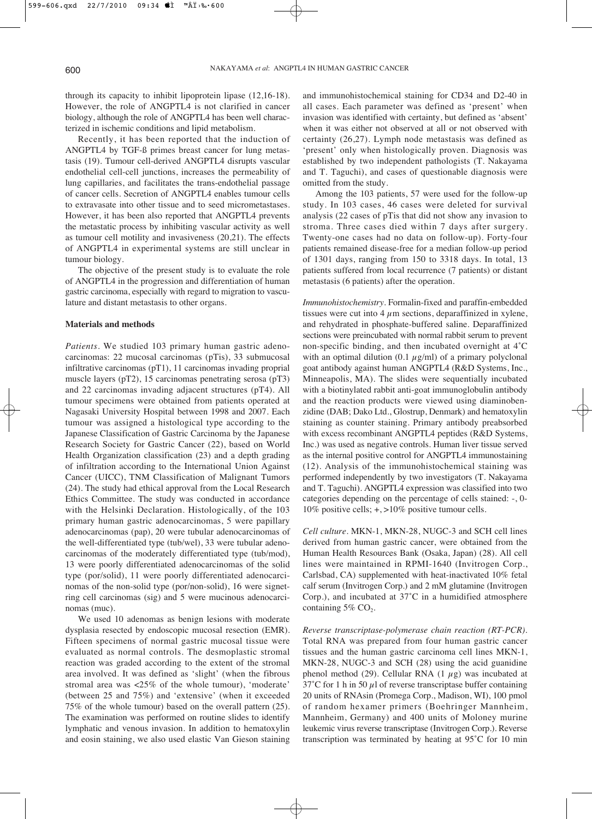through its capacity to inhibit lipoprotein lipase (12,16-18). However, the role of ANGPTL4 is not clarified in cancer biology, although the role of ANGPTL4 has been well characterized in ischemic conditions and lipid metabolism.

Recently, it has been reported that the induction of ANGPTL4 by TGF-ß primes breast cancer for lung metastasis (19). Tumour cell-derived ANGPTL4 disrupts vascular endothelial cell-cell junctions, increases the permeability of lung capillaries, and facilitates the trans-endothelial passage of cancer cells. Secretion of ANGPTL4 enables tumour cells to extravasate into other tissue and to seed micrometastases. However, it has been also reported that ANGPTL4 prevents the metastatic process by inhibiting vascular activity as well as tumour cell motility and invasiveness (20,21). The effects of ANGPTL4 in experimental systems are still unclear in tumour biology.

The objective of the present study is to evaluate the role of ANGPTL4 in the progression and differentiation of human gastric carcinoma, especially with regard to migration to vasculature and distant metastasis to other organs.

### **Materials and methods**

*Patients*. We studied 103 primary human gastric adenocarcinomas: 22 mucosal carcinomas (pTis), 33 submucosal infiltrative carcinomas (pT1), 11 carcinomas invading proprial muscle layers (pT2), 15 carcinomas penetrating serosa (pT3) and 22 carcinomas invading adjacent structures (pT4). All tumour specimens were obtained from patients operated at Nagasaki University Hospital between 1998 and 2007. Each tumour was assigned a histological type according to the Japanese Classification of Gastric Carcinoma by the Japanese Research Society for Gastric Cancer (22), based on World Health Organization classification (23) and a depth grading of infiltration according to the International Union Against Cancer (UICC), TNM Classification of Malignant Tumors (24). The study had ethical approval from the Local Research Ethics Committee. The study was conducted in accordance with the Helsinki Declaration. Histologically, of the 103 primary human gastric adenocarcinomas, 5 were papillary adenocarcinomas (pap), 20 were tubular adenocarcinomas of the well-differentiated type (tub/wel), 33 were tubular adenocarcinomas of the moderately differentiated type (tub/mod), 13 were poorly differentiated adenocarcinomas of the solid type (por/solid), 11 were poorly differentiated adenocarcinomas of the non-solid type (por/non-solid), 16 were signetring cell carcinomas (sig) and 5 were mucinous adenocarcinomas (muc).

We used 10 adenomas as benign lesions with moderate dysplasia resected by endoscopic mucosal resection (EMR). Fifteen specimens of normal gastric mucosal tissue were evaluated as normal controls. The desmoplastic stromal reaction was graded according to the extent of the stromal area involved. It was defined as 'slight' (when the fibrous stromal area was <25% of the whole tumour), 'moderate' (between 25 and 75%) and 'extensive' (when it exceeded 75% of the whole tumour) based on the overall pattern (25). The examination was performed on routine slides to identify lymphatic and venous invasion. In addition to hematoxylin and eosin staining, we also used elastic Van Gieson staining

and immunohistochemical staining for CD34 and D2-40 in all cases. Each parameter was defined as 'present' when invasion was identified with certainty, but defined as 'absent' when it was either not observed at all or not observed with certainty (26,27). Lymph node metastasis was defined as 'present' only when histologically proven. Diagnosis was established by two independent pathologists (T. Nakayama and T. Taguchi), and cases of questionable diagnosis were omitted from the study.

Among the 103 patients, 57 were used for the follow-up study. In 103 cases, 46 cases were deleted for survival analysis (22 cases of pTis that did not show any invasion to stroma. Three cases died within 7 days after surgery. Twenty-one cases had no data on follow-up). Forty-four patients remained disease-free for a median follow-up period of 1301 days, ranging from 150 to 3318 days. In total, 13 patients suffered from local recurrence (7 patients) or distant metastasis (6 patients) after the operation.

*Immunohistochemistry*. Formalin-fixed and paraffin-embedded tissues were cut into  $4 \mu$ m sections, deparaffinized in xylene, and rehydrated in phosphate-buffered saline. Deparaffinized sections were preincubated with normal rabbit serum to prevent non-specific binding, and then incubated overnight at 4˚C with an optimal dilution (0.1  $\mu$ g/ml) of a primary polyclonal goat antibody against human ANGPTL4 (R&D Systems, Inc., Minneapolis, MA). The slides were sequentially incubated with a biotinylated rabbit anti-goat immunoglobulin antibody and the reaction products were viewed using diaminobenzidine (DAB; Dako Ltd., Glostrup, Denmark) and hematoxylin staining as counter staining. Primary antibody preabsorbed with excess recombinant ANGPTL4 peptides (R&D Systems, Inc.) was used as negative controls. Human liver tissue served as the internal positive control for ANGPTL4 immunostaining (12). Analysis of the immunohistochemical staining was performed independently by two investigators (T. Nakayama and T. Taguchi). ANGPTL4 expression was classified into two categories depending on the percentage of cells stained: -, 0- 10% positive cells; +, >10% positive tumour cells.

*Cell culture*. MKN-1, MKN-28, NUGC-3 and SCH cell lines derived from human gastric cancer, were obtained from the Human Health Resources Bank (Osaka, Japan) (28). All cell lines were maintained in RPMI-1640 (Invitrogen Corp., Carlsbad, CA) supplemented with heat-inactivated 10% fetal calf serum (Invitrogen Corp.) and 2 mM glutamine (Invitrogen Corp.), and incubated at 37˚C in a humidified atmosphere containing  $5\%$  CO<sub>2</sub>.

*Reverse transcriptase-polymerase chain reaction (RT-PCR)*. Total RNA was prepared from four human gastric cancer tissues and the human gastric carcinoma cell lines MKN-1, MKN-28, NUGC-3 and SCH (28) using the acid guanidine phenol method (29). Cellular RNA (1  $\mu$ g) was incubated at 37°C for 1 h in 50  $\mu$ l of reverse transcriptase buffer containing 20 units of RNAsin (Promega Corp., Madison, WI), 100 pmol of random hexamer primers (Boehringer Mannheim, Mannheim, Germany) and 400 units of Moloney murine leukemic virus reverse transcriptase (Invitrogen Corp.). Reverse transcription was terminated by heating at 95˚C for 10 min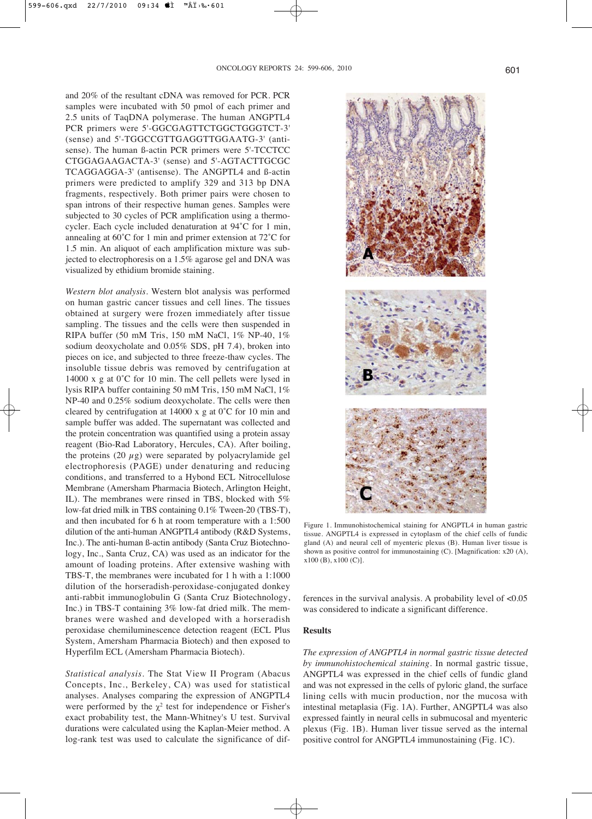and 20% of the resultant cDNA was removed for PCR. PCR samples were incubated with 50 pmol of each primer and 2.5 units of TaqDNA polymerase. The human ANGPTL4 PCR primers were 5'-GGCGAGTTCTGGCTGGGTCT-3' (sense) and 5'-TGGCCGTTGAGGTTGGAATG-3' (antisense). The human ß-actin PCR primers were 5'-TCCTCC CTGGAGAAGACTA-3' (sense) and 5'-AGTACTTGCGC TCAGGAGGA-3' (antisense). The ANGPTL4 and ß-actin primers were predicted to amplify 329 and 313 bp DNA fragments, respectively. Both primer pairs were chosen to span introns of their respective human genes. Samples were subjected to 30 cycles of PCR amplification using a thermocycler. Each cycle included denaturation at 94˚C for 1 min, annealing at 60˚C for 1 min and primer extension at 72˚C for 1.5 min. An aliquot of each amplification mixture was subjected to electrophoresis on a 1.5% agarose gel and DNA was visualized by ethidium bromide staining.

*Western blot analysis*. Western blot analysis was performed on human gastric cancer tissues and cell lines. The tissues obtained at surgery were frozen immediately after tissue sampling. The tissues and the cells were then suspended in RIPA buffer (50 mM Tris, 150 mM NaCl, 1% NP-40, 1% sodium deoxycholate and 0.05% SDS, pH 7.4), broken into pieces on ice, and subjected to three freeze-thaw cycles. The insoluble tissue debris was removed by centrifugation at 14000 x g at 0˚C for 10 min. The cell pellets were lysed in lysis RIPA buffer containing 50 mM Tris, 150 mM NaCl, 1% NP-40 and 0.25% sodium deoxycholate. The cells were then cleared by centrifugation at 14000 x g at 0˚C for 10 min and sample buffer was added. The supernatant was collected and the protein concentration was quantified using a protein assay reagent (Bio-Rad Laboratory, Hercules, CA). After boiling, the proteins  $(20 \mu g)$  were separated by polyacrylamide gel electrophoresis (PAGE) under denaturing and reducing conditions, and transferred to a Hybond ECL Nitrocellulose Membrane (Amersham Pharmacia Biotech, Arlington Height, IL). The membranes were rinsed in TBS, blocked with 5% low-fat dried milk in TBS containing 0.1% Tween-20 (TBS-T), and then incubated for 6 h at room temperature with a 1:500 dilution of the anti-human ANGPTL4 antibody (R&D Systems, Inc.). The anti-human ß-actin antibody (Santa Cruz Biotechnology, Inc., Santa Cruz, CA) was used as an indicator for the amount of loading proteins. After extensive washing with TBS-T, the membranes were incubated for 1 h with a 1:1000 dilution of the horseradish-peroxidase-conjugated donkey anti-rabbit immunoglobulin G (Santa Cruz Biotechnology, Inc.) in TBS-T containing 3% low-fat dried milk. The membranes were washed and developed with a horseradish peroxidase chemiluminescence detection reagent (ECL Plus System, Amersham Pharmacia Biotech) and then exposed to Hyperfilm ECL (Amersham Pharmacia Biotech).

*Statistical analysis*. The Stat View II Program (Abacus Concepts, Inc., Berkeley, CA) was used for statistical analyses. Analyses comparing the expression of ANGPTL4 were performed by the  $\chi^2$  test for independence or Fisher's exact probability test, the Mann-Whitney's U test. Survival durations were calculated using the Kaplan-Meier method. A log-rank test was used to calculate the significance of dif-



Figure 1. Immunohistochemical staining for ANGPTL4 in human gastric tissue. ANGPTL4 is expressed in cytoplasm of the chief cells of fundic gland (A) and neural cell of myenteric plexus (B). Human liver tissue is shown as positive control for immunostaining (C). [Magnification: x20 (A), x100 (B), x100 (C)].

ferences in the survival analysis. A probability level of <0.05 was considered to indicate a significant difference.

### **Results**

*The expression of ANGPTL4 in normal gastric tissue detected by immunohistochemical staining*. In normal gastric tissue, ANGPTL4 was expressed in the chief cells of fundic gland and was not expressed in the cells of pyloric gland, the surface lining cells with mucin production, nor the mucosa with intestinal metaplasia (Fig. 1A). Further, ANGPTL4 was also expressed faintly in neural cells in submucosal and myenteric plexus (Fig. 1B). Human liver tissue served as the internal positive control for ANGPTL4 immunostaining (Fig. 1C).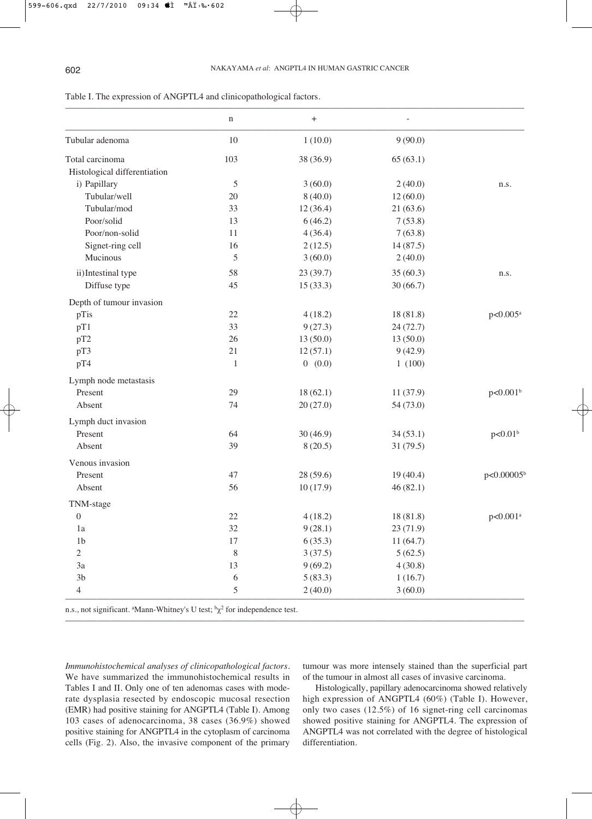|                              | $\mathbf n$  | $\begin{array}{c} + \end{array}$ |           |                          |
|------------------------------|--------------|----------------------------------|-----------|--------------------------|
| Tubular adenoma              | $10\,$       | 1(10.0)                          | 9(90.0)   |                          |
| Total carcinoma              | 103          | 38 (36.9)                        | 65(63.1)  |                          |
| Histological differentiation |              |                                  |           |                          |
| i) Papillary                 | 5            | 3(60.0)                          | 2(40.0)   | n.s.                     |
| Tubular/well                 | 20           | 8(40.0)                          | 12(60.0)  |                          |
| Tubular/mod                  | 33           | 12(36.4)                         | 21(63.6)  |                          |
| Poor/solid                   | 13           | 6(46.2)                          | 7(53.8)   |                          |
| Poor/non-solid               | 11           | 4(36.4)                          | 7(63.8)   |                          |
| Signet-ring cell             | 16           | 2(12.5)                          | 14(87.5)  |                          |
| Mucinous                     | 5            | 3(60.0)                          | 2(40.0)   |                          |
| ii)Intestinal type           | 58           | 23(39.7)                         | 35(60.3)  | n.s.                     |
| Diffuse type                 | 45           | 15(33.3)                         | 30(66.7)  |                          |
| Depth of tumour invasion     |              |                                  |           |                          |
| pTis                         | $22\,$       | 4(18.2)                          | 18(81.8)  | p<0.005 <sup>a</sup>     |
| pT1                          | 33           | 9(27.3)                          | 24(72.7)  |                          |
| pT2                          | 26           | 13(50.0)                         | 13(50.0)  |                          |
| pT3                          | 21           | 12(57.1)                         | 9(42.9)   |                          |
| pT4                          | $\mathbf{1}$ | 0(0.0)                           | 1(100)    |                          |
| Lymph node metastasis        |              |                                  |           |                          |
| Present                      | 29           | 18(62.1)                         | 11(37.9)  | p<0.001 <sup>b</sup>     |
| Absent                       | 74           | 20(27.0)                         | 54 (73.0) |                          |
| Lymph duct invasion          |              |                                  |           |                          |
| Present                      | 64           | 30(46.9)                         | 34(53.1)  | p<0.01 <sup>b</sup>      |
| Absent                       | 39           | 8(20.5)                          | 31(79.5)  |                          |
| Venous invasion              |              |                                  |           |                          |
| Present                      | 47           | 28(59.6)                         | 19(40.4)  | $p<0.00005$ <sup>b</sup> |
| Absent                       | 56           | 10(17.9)                         | 46(82.1)  |                          |
| TNM-stage                    |              |                                  |           |                          |
| $\boldsymbol{0}$             | $22\,$       | 4(18.2)                          | 18(81.8)  | p<0.001 <sup>a</sup>     |
| 1a                           | $32\,$       | 9(28.1)                          | 23 (71.9) |                          |
| 1 <sub>b</sub>               | 17           | 6(35.3)                          | 11(64.7)  |                          |
| $\mathbf{2}$                 | $\,8\,$      | 3(37.5)                          | 5(62.5)   |                          |
| 3a                           | 13           | 9(69.2)                          | 4(30.8)   |                          |
| 3 <sub>b</sub>               | 6            | 5(83.3)                          | 1(16.7)   |                          |
| $\overline{4}$               | $\sqrt{5}$   | 2(40.0)                          | 3(60.0)   |                          |

–––––––––––––––––––––––––––––––––––––––––––––––––––––––––––––––––––––––––––––––––––––––––––––––––––––

Table I. The expression of ANGPTL4 and clinicopathological factors.

n.s., not significant. <sup>a</sup>Mann-Whitney's U test;  ${}^{\text{b}}\chi^2$  for independence test.

*Immunohistochemical analyses of clinicopathological factors*. We have summarized the immunohistochemical results in Tables I and II. Only one of ten adenomas cases with moderate dysplasia resected by endoscopic mucosal resection (EMR) had positive staining for ANGPTL4 (Table I). Among 103 cases of adenocarcinoma, 38 cases (36.9%) showed positive staining for ANGPTL4 in the cytoplasm of carcinoma cells (Fig. 2). Also, the invasive component of the primary

tumour was more intensely stained than the superficial part of the tumour in almost all cases of invasive carcinoma.

Histologically, papillary adenocarcinoma showed relatively high expression of ANGPTL4 (60%) (Table I). However, only two cases (12.5%) of 16 signet-ring cell carcinomas showed positive staining for ANGPTL4. The expression of ANGPTL4 was not correlated with the degree of histological differentiation.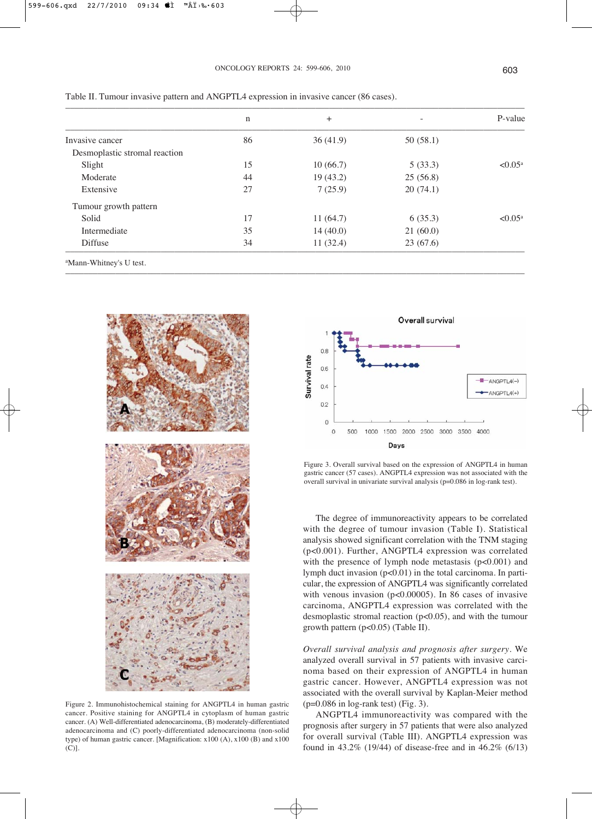|                               | n  | $+$      |          | P-value             |
|-------------------------------|----|----------|----------|---------------------|
| Invasive cancer               | 86 | 36(41.9) | 50(58.1) |                     |
| Desmoplastic stromal reaction |    |          |          |                     |
| Slight                        | 15 | 10(66.7) | 5(33.3)  | $< 0.05^{\text{a}}$ |
| Moderate                      | 44 | 19(43.2) | 25(56.8) |                     |
| Extensive                     | 27 | 7(25.9)  | 20(74.1) |                     |
| Tumour growth pattern         |    |          |          |                     |
| Solid                         | 17 | 11(64.7) | 6(35.3)  | $< 0.05^{\text{a}}$ |
| Intermediate                  | 35 | 14(40.0) | 21(60.0) |                     |
| Diffuse                       | 34 | 11(32.4) | 23(67.6) |                     |

–––––––––––––––––––––––––––––––––––––––––––––––––––––––––––––––––––––––––––––––––––––––––––––––––––––

Table II. Tumour invasive pattern and ANGPTL4 expression in invasive cancer (86 cases).

a Mann-Whitney's U test.



Figure 2. Immunohistochemical staining for ANGPTL4 in human gastric cancer. Positive staining for ANGPTL4 in cytoplasm of human gastric cancer. (A) Well-differentiated adenocarcinoma, (B) moderately-differentiated adenocarcinoma and (C) poorly-differentiated adenocarcinoma (non-solid type) of human gastric cancer. [Magnification: x100 (A), x100 (B) and x100 (C)].



Figure 3. Overall survival based on the expression of ANGPTL4 in human gastric cancer (57 cases). ANGPTL4 expression was not associated with the overall survival in univariate survival analysis (p=0.086 in log-rank test).

The degree of immunoreactivity appears to be correlated with the degree of tumour invasion (Table I). Statistical analysis showed significant correlation with the TNM staging (p<0.001). Further, ANGPTL4 expression was correlated with the presence of lymph node metastasis  $(p<0.001)$  and lymph duct invasion (p<0.01) in the total carcinoma. In particular, the expression of ANGPTL4 was significantly correlated with venous invasion (p<0.00005). In 86 cases of invasive carcinoma, ANGPTL4 expression was correlated with the desmoplastic stromal reaction (p<0.05), and with the tumour growth pattern (p<0.05) (Table II).

*Overall survival analysis and prognosis after surgery*. We analyzed overall survival in 57 patients with invasive carcinoma based on their expression of ANGPTL4 in human gastric cancer. However, ANGPTL4 expression was not associated with the overall survival by Kaplan-Meier method (p=0.086 in log-rank test) (Fig. 3).

ANGPTL4 immunoreactivity was compared with the prognosis after surgery in 57 patients that were also analyzed for overall survival (Table III). ANGPTL4 expression was found in 43.2% (19/44) of disease-free and in 46.2% (6/13)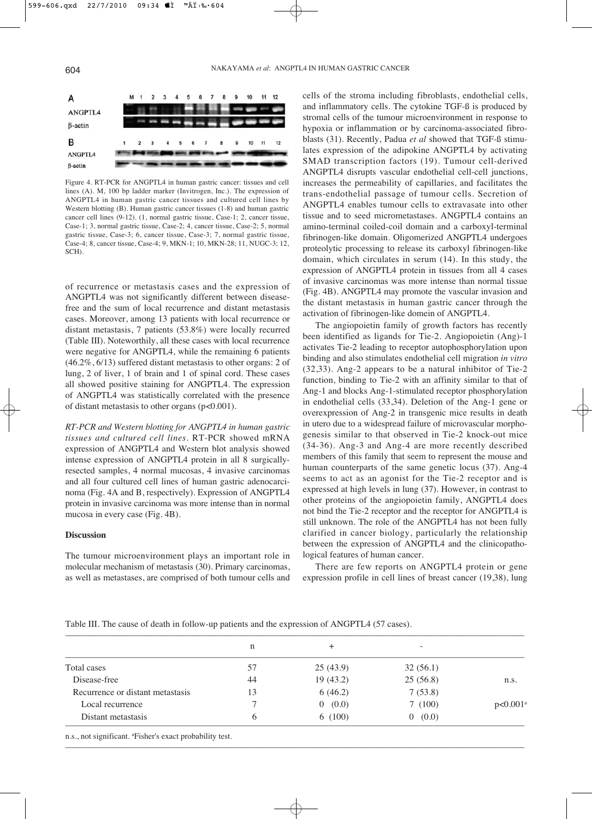

Figure 4. RT-PCR for ANGPTL4 in human gastric cancer: tissues and cell lines (A). M, 100 bp ladder marker (Invitrogen, Inc.). The expression of ANGPTL4 in human gastric cancer tissues and cultured cell lines by Western blotting (B). Human gastric cancer tissues (1-8) and human gastric cancer cell lines (9-12). (1, normal gastric tissue, Case-1; 2, cancer tissue, Case-1; 3, normal gastric tissue, Case-2; 4, cancer tissue, Case-2; 5, normal gastric tissue, Case-3; 6, cancer tissue, Case-3; 7, normal gastric tissue, Case-4; 8, cancer tissue, Case-4; 9, MKN-1; 10, MKN-28; 11, NUGC-3; 12, SCH).

of recurrence or metastasis cases and the expression of ANGPTL4 was not significantly different between diseasefree and the sum of local recurrence and distant metastasis cases. Moreover, among 13 patients with local recurrence or distant metastasis, 7 patients (53.8%) were locally recurred (Table III). Noteworthily, all these cases with local recurrence were negative for ANGPTL4, while the remaining 6 patients (46.2%, 6/13) suffered distant metastasis to other organs: 2 of lung, 2 of liver, 1 of brain and 1 of spinal cord. These cases all showed positive staining for ANGPTL4. The expression of ANGPTL4 was statistically correlated with the presence of distant metastasis to other organs (p<0.001).

*RT-PCR and Western blotting for ANGPTL4 in human gastric tissues and cultured cell lines*. RT-PCR showed mRNA expression of ANGPTL4 and Western blot analysis showed intense expression of ANGPTL4 protein in all 8 surgicallyresected samples, 4 normal mucosas, 4 invasive carcinomas and all four cultured cell lines of human gastric adenocarcinoma (Fig. 4A and B, respectively). Expression of ANGPTL4 protein in invasive carcinoma was more intense than in normal mucosa in every case (Fig. 4B).

# **Discussion**

The tumour microenvironment plays an important role in molecular mechanism of metastasis (30). Primary carcinomas, as well as metastases, are comprised of both tumour cells and cells of the stroma including fibroblasts, endothelial cells, and inflammatory cells. The cytokine TGF-ß is produced by stromal cells of the tumour microenvironment in response to hypoxia or inflammation or by carcinoma-associated fibroblasts (31). Recently, Padua *et al* showed that TGF-ß stimulates expression of the adipokine ANGPTL4 by activating SMAD transcription factors (19). Tumour cell-derived ANGPTL4 disrupts vascular endothelial cell-cell junctions, increases the permeability of capillaries, and facilitates the trans-endothelial passage of tumour cells. Secretion of ANGPTL4 enables tumour cells to extravasate into other tissue and to seed micrometastases. ANGPTL4 contains an amino-terminal coiled-coil domain and a carboxyl-terminal fibrinogen-like domain. Oligomerized ANGPTL4 undergoes proteolytic processing to release its carboxyl fibrinogen-like domain, which circulates in serum (14). In this study, the expression of ANGPTL4 protein in tissues from all 4 cases of invasive carcinomas was more intense than normal tissue (Fig. 4B). ANGPTL4 may promote the vascular invasion and the distant metastasis in human gastric cancer through the activation of fibrinogen-like domein of ANGPTL4.

The angiopoietin family of growth factors has recently been identified as ligands for Tie-2. Angiopoietin (Ang)-1 activates Tie-2 leading to receptor autophosphorylation upon binding and also stimulates endothelial cell migration *in vitro* (32,33). Ang-2 appears to be a natural inhibitor of Tie-2 function, binding to Tie-2 with an affinity similar to that of Ang-1 and blocks Ang-1-stimulated receptor phosphorylation in endothelial cells (33,34). Deletion of the Ang-1 gene or overexpression of Ang-2 in transgenic mice results in death in utero due to a widespread failure of microvascular morphogenesis similar to that observed in Tie-2 knock-out mice (34-36). Ang-3 and Ang-4 are more recently described members of this family that seem to represent the mouse and human counterparts of the same genetic locus (37). Ang-4 seems to act as an agonist for the Tie-2 receptor and is expressed at high levels in lung (37). However, in contrast to other proteins of the angiopoietin family, ANGPTL4 does not bind the Tie-2 receptor and the receptor for ANGPTL4 is still unknown. The role of the ANGPTL4 has not been fully clarified in cancer biology, particularly the relationship between the expression of ANGPTL4 and the clinicopathological features of human cancer.

There are few reports on ANGPTL4 protein or gene expression profile in cell lines of breast cancer (19,38), lung

Table III. The cause of death in follow-up patients and the expression of ANGPTL4 (57 cases).

|                                  | n  | +        | -        |                   |
|----------------------------------|----|----------|----------|-------------------|
| Total cases                      | 57 | 25(43.9) | 32(56.1) |                   |
| Disease-free                     | 44 | 19(43.2) | 25(56.8) | n.s.              |
| Recurrence or distant metastasis | 13 | 6(46.2)  | 7(53.8)  |                   |
| Local recurrence                 |    | 0(0.0)   | 7(100)   | $p<0.001^{\circ}$ |
| Distant metastasis               | 6  | 6(100)   | (0.0)    |                   |

–––––––––––––––––––––––––––––––––––––––––––––––––––––––––––––––––––––––––––––––––––––––––––––––––––––

n.s., not significant. a Fisher's exact probability test.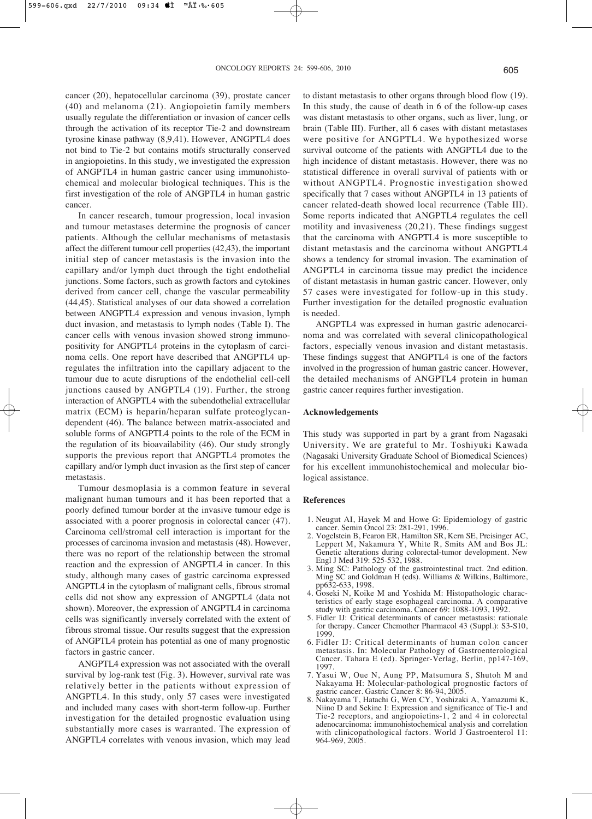cancer (20), hepatocellular carcinoma (39), prostate cancer (40) and melanoma (21). Angiopoietin family members usually regulate the differentiation or invasion of cancer cells through the activation of its receptor Tie-2 and downstream tyrosine kinase pathway (8,9,41). However, ANGPTL4 does not bind to Tie-2 but contains motifs structurally conserved in angiopoietins. In this study, we investigated the expression of ANGPTL4 in human gastric cancer using immunohistochemical and molecular biological techniques. This is the first investigation of the role of ANGPTL4 in human gastric cancer.

In cancer research, tumour progression, local invasion and tumour metastases determine the prognosis of cancer patients. Although the cellular mechanisms of metastasis affect the different tumour cell properties (42,43), the important initial step of cancer metastasis is the invasion into the capillary and/or lymph duct through the tight endothelial junctions. Some factors, such as growth factors and cytokines derived from cancer cell, change the vascular permeability (44,45). Statistical analyses of our data showed a correlation between ANGPTL4 expression and venous invasion, lymph duct invasion, and metastasis to lymph nodes (Table I). The cancer cells with venous invasion showed strong immunopositivity for ANGPTL4 proteins in the cytoplasm of carcinoma cells. One report have described that ANGPTL4 upregulates the infiltration into the capillary adjacent to the tumour due to acute disruptions of the endothelial cell-cell junctions caused by ANGPTL4 (19). Further, the strong interaction of ANGPTL4 with the subendothelial extracellular matrix (ECM) is heparin/heparan sulfate proteoglycandependent (46). The balance between matrix-associated and soluble forms of ANGPTL4 points to the role of the ECM in the regulation of its bioavailability (46). Our study strongly supports the previous report that ANGPTL4 promotes the capillary and/or lymph duct invasion as the first step of cancer metastasis.

Tumour desmoplasia is a common feature in several malignant human tumours and it has been reported that a poorly defined tumour border at the invasive tumour edge is associated with a poorer prognosis in colorectal cancer (47). Carcinoma cell/stromal cell interaction is important for the processes of carcinoma invasion and metastasis (48). However, there was no report of the relationship between the stromal reaction and the expression of ANGPTL4 in cancer. In this study, although many cases of gastric carcinoma expressed ANGPTL4 in the cytoplasm of malignant cells, fibrous stromal cells did not show any expression of ANGPTL4 (data not shown). Moreover, the expression of ANGPTL4 in carcinoma cells was significantly inversely correlated with the extent of fibrous stromal tissue. Our results suggest that the expression of ANGPTL4 protein has potential as one of many prognostic factors in gastric cancer.

ANGPTL4 expression was not associated with the overall survival by log-rank test (Fig. 3). However, survival rate was relatively better in the patients without expression of ANGPTL4. In this study, only 57 cases were investigated and included many cases with short-term follow-up. Further investigation for the detailed prognostic evaluation using substantially more cases is warranted. The expression of ANGPTL4 correlates with venous invasion, which may lead

to distant metastasis to other organs through blood flow (19). In this study, the cause of death in 6 of the follow-up cases was distant metastasis to other organs, such as liver, lung, or brain (Table III). Further, all 6 cases with distant metastases were positive for ANGPTL4. We hypothesized worse survival outcome of the patients with ANGPTL4 due to the high incidence of distant metastasis. However, there was no statistical difference in overall survival of patients with or without ANGPTL4. Prognostic investigation showed specifically that 7 cases without ANGPTL4 in 13 patients of cancer related-death showed local recurrence (Table III). Some reports indicated that ANGPTL4 regulates the cell motility and invasiveness (20,21). These findings suggest that the carcinoma with ANGPTL4 is more susceptible to distant metastasis and the carcinoma without ANGPTL4 shows a tendency for stromal invasion. The examination of ANGPTL4 in carcinoma tissue may predict the incidence of distant metastasis in human gastric cancer. However, only 57 cases were investigated for follow-up in this study. Further investigation for the detailed prognostic evaluation is needed.

ANGPTL4 was expressed in human gastric adenocarcinoma and was correlated with several clinicopathological factors, especially venous invasion and distant metastasis. These findings suggest that ANGPTL4 is one of the factors involved in the progression of human gastric cancer. However, the detailed mechanisms of ANGPTL4 protein in human gastric cancer requires further investigation.

#### **Acknowledgements**

This study was supported in part by a grant from Nagasaki University. We are grateful to Mr. Toshiyuki Kawada (Nagasaki University Graduate School of Biomedical Sciences) for his excellent immunohistochemical and molecular biological assistance.

#### **References**

- 1. Neugut AI, Hayek M and Howe G: Epidemiology of gastric cancer. Semin Oncol 23: 281-291, 1996.
- 2. Vogelstein B, Fearon ER, Hamilton SR, Kern SE, Preisinger AC, Leppert M, Nakamura Y, White R, Smits AM and Bos JL: Genetic alterations during colorectal-tumor development. New Engl J Med 319: 525-532, 1988.
- 3. Ming SC: Pathology of the gastrointestinal tract. 2nd edition. Ming SC and Goldman H (eds). Williams & Wilkins, Baltimore, pp632-633, 1998.
- 4. Goseki N, Koike M and Yoshida M: Histopathologic characteristics of early stage esophageal carcinoma. A comparative study with gastric carcinoma. Cancer 69: 1088-1093, 1992.
- 5. Fidler IJ: Critical determinants of cancer metastasis: rationale for therapy. Cancer Chemother Pharmacol 43 (Suppl.): S3-S10, 1999.
- 6. Fidler IJ: Critical determinants of human colon cancer metastasis. In: Molecular Pathology of Gastroenterological Cancer. Tahara E (ed). Springer-Verlag, Berlin, pp147-169, 1997.
- 7. Yasui W, Oue N, Aung PP, Matsumura S, Shutoh M and Nakayama H: Molecular-pathological prognostic factors of gastric cancer. Gastric Cancer 8: 86-94, 2005.
- 8. Nakayama T, Hatachi G, Wen CY, Yoshizaki A, Yamazumi K, Niino D and Sekine I: Expression and significance of Tie-1 and Tie-2 receptors, and angiopoietins-1, 2 and 4 in colorectal adenocarcinoma: immunohistochemical analysis and correlation with clinicopathological factors. World J Gastroenterol 11: 964-969, 2005.